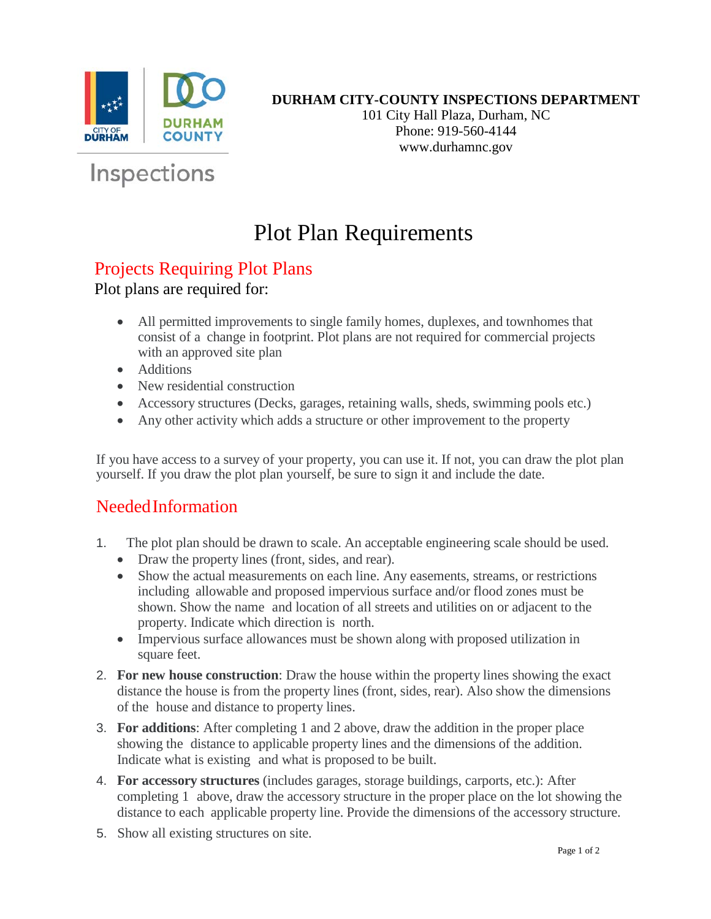

#### **DURHAM CITY-COUNTY INSPECTIONS DEPARTMENT**

101 City Hall Plaza, Durham, NC Phone: 919-560-4144 www.durhamnc.gov

# Inspections

### Plot Plan Requirements

#### Projects Requiring Plot Plans

Plot plans are required for:

- All permitted improvements to single family homes, duplexes, and townhomes that consist of a change in footprint. Plot plans are not required for commercial projects with an approved site plan
- Additions
- New residential construction
- Accessory structures (Decks, garages, retaining walls, sheds, swimming pools etc.)
- Any other activity which adds a structure or other improvement to the property

If you have access to a survey of your property, you can use it. If not, you can draw the plot plan yourself. If you draw the plot plan yourself, be sure to sign it and include the date.

### NeededInformation

- 1. The plot plan should be drawn to scale. An acceptable engineering scale should be used.
	- Draw the property lines (front, sides, and rear).
	- Show the actual measurements on each line. Any easements, streams, or restrictions including allowable and proposed impervious surface and/or flood zones must be shown. Show the name and location of all streets and utilities on or adjacent to the property. Indicate which direction is north.
	- Impervious surface allowances must be shown along with proposed utilization in square feet.
- 2. **For new house construction**: Draw the house within the property lines showing the exact distance the house is from the property lines (front, sides, rear). Also show the dimensions of the house and distance to property lines.
- 3. **For additions**: After completing 1 and 2 above, draw the addition in the proper place showing the distance to applicable property lines and the dimensions of the addition. Indicate what is existing and what is proposed to be built.
- 4. **For accessory structures** (includes garages, storage buildings, carports, etc.): After completing 1 above, draw the accessory structure in the proper place on the lot showing the distance to each applicable property line. Provide the dimensions of the accessory structure.
- 5. Show all existing structures on site.